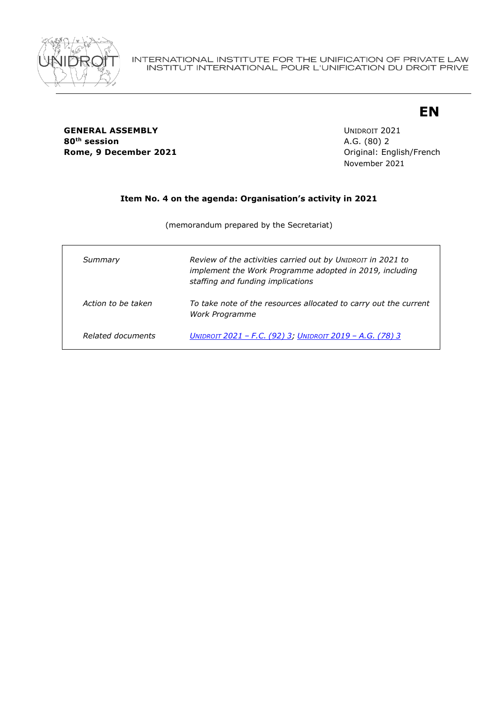

### **GENERAL ASSEMBLY** UNIDROIT 2021 **80th session** A.G. (80) 2 **Rome, 9 December 2021 Communicate English/French** Driginal: English/French

November 2021

**EN**

# **Item No. 4 on the agenda: Organisation's activity in 2021**

(memorandum prepared by the Secretariat)

| Summary            | Review of the activities carried out by UNIDROIT in 2021 to<br>implement the Work Programme adopted in 2019, including<br>staffing and funding implications |
|--------------------|-------------------------------------------------------------------------------------------------------------------------------------------------------------|
| Action to be taken | To take note of the resources allocated to carry out the current<br>Work Programme                                                                          |
| Related documents  | <u> UNIDROIT 2021 – F.C. (92) 3; UNIDROIT 2019 – A.G. (78) 3</u>                                                                                            |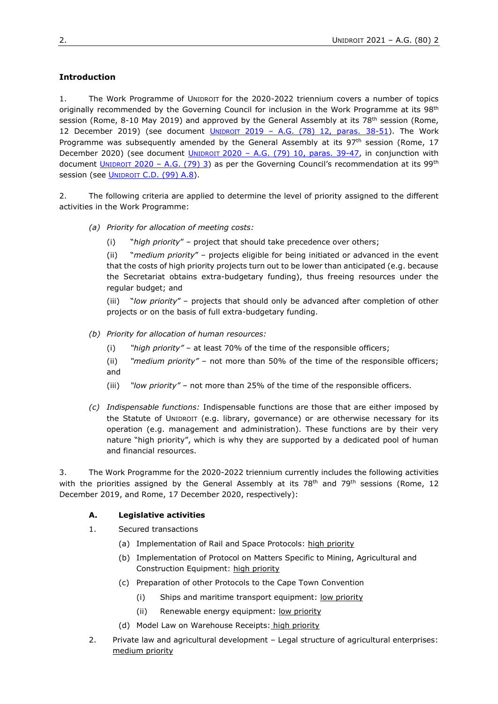# **Introduction**

1. The Work Programme of UNIDROIT for the 2020-2022 triennium covers a number of topics originally recommended by the Governing Council for inclusion in the Work Programme at its 98<sup>th</sup> session (Rome, 8-10 May 2019) and approved by the General Assembly at its 78<sup>th</sup> session (Rome, 12 December 2019) (see document  $UNIDROT$  2019 – A.G.  $(78)$  12, paras. 38-51). The Work Programme was subsequently amended by the General Assembly at its  $97<sup>th</sup>$  session (Rome, 17 December 2020) (see document UNIDROIT 2020 - A.G. (79) 10, [paras. 39-47,](https://www.unidroit.org/english/governments/assemblydocuments/2020-79session/ag-79-10-e.pdf) in conjunction with document *UNIDROIT* 2020 – [A.G. \(79\) 3\)](https://www.unidroit.org/english/governments/assemblydocuments/2020-79session/ag-79-03-e.pdf) as per the Governing Council's recommendation at its 99<sup>th</sup> session (see **UNIDROIT C.D. (99) A.8**).

2. The following criteria are applied to determine the level of priority assigned to the different activities in the Work Programme:

- *(a) Priority for allocation of meeting costs:* 
	- (i) "*high priority*" project that should take precedence over others;

(ii) "*medium priority*" – projects eligible for being initiated or advanced in the event that the costs of high priority projects turn out to be lower than anticipated (e.g. because the Secretariat obtains extra-budgetary funding), thus freeing resources under the regular budget; and

(iii) "*low priority*" – projects that should only be advanced after completion of other projects or on the basis of full extra-budgetary funding.

- *(b) Priority for allocation of human resources:*
	- (i) *"high priority"* at least 70% of the time of the responsible officers;
	- (ii) *"medium priority"* not more than 50% of the time of the responsible officers; and
	- (iii) *"low priority"* not more than 25% of the time of the responsible officers.
- *(c) Indispensable functions:* Indispensable functions are those that are either imposed by the Statute of UNIDROIT (e.g. library, governance) or are otherwise necessary for its operation (e.g. management and administration). These functions are by their very nature "high priority", which is why they are supported by a dedicated pool of human and financial resources.

3. The Work Programme for the 2020-2022 triennium currently includes the following activities with the priorities assigned by the General Assembly at its  $78<sup>th</sup>$  and  $79<sup>th</sup>$  sessions (Rome, 12) December 2019, and Rome, 17 December 2020, respectively):

#### **A. Legislative activities**

- 1. Secured transactions
	- (a) Implementation of Rail and Space Protocols: high priority
	- (b) Implementation of Protocol on Matters Specific to Mining, Agricultural and Construction Equipment: high priority
	- (c) Preparation of other Protocols to the Cape Town Convention
		- (i) Ships and maritime transport equipment: low priority
		- (ii) Renewable energy equipment: low priority
	- (d) Model Law on Warehouse Receipts: high priority
- 2. Private law and agricultural development Legal structure of agricultural enterprises: medium priority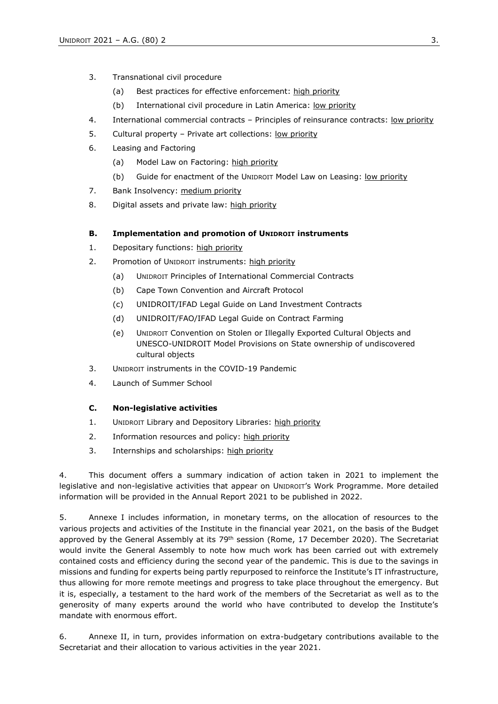- 3. Transnational civil procedure
	- (a) Best practices for effective enforcement: high priority
	- (b) International civil procedure in Latin America: low priority
- 4. International commercial contracts Principles of reinsurance contracts: low priority
- 5. Cultural property Private art collections: low priority
- 6. Leasing and Factoring
	- (a) Model Law on Factoring: high priority
	- (b) Guide for enactment of the UNIDROIT Model Law on Leasing: low priority
- 7. Bank Insolvency: medium priority
- 8. Digital assets and private law: high priority

### **B. Implementation and promotion of UNIDROIT instruments**

- 1. Depositary functions: high priority
- 2. Promotion of UNIDROIT instruments: high priority
	- (a) UNIDROIT Principles of International Commercial Contracts
		- (b) Cape Town Convention and Aircraft Protocol
		- (c) UNIDROIT/IFAD Legal Guide on Land Investment Contracts
		- (d) UNIDROIT/FAO/IFAD Legal Guide on Contract Farming
		- (e) UNIDROIT Convention on Stolen or Illegally Exported Cultural Objects and UNESCO-UNIDROIT Model Provisions on State ownership of undiscovered cultural objects
- 3. UNIDROIT instruments in the COVID-19 Pandemic
- 4. Launch of Summer School

#### **C. Non-legislative activities**

- 1. UNIDROIT Library and Depository Libraries: high priority
- 2. Information resources and policy: high priority
- 3. Internships and scholarships: high priority

4. This document offers a summary indication of action taken in 2021 to implement the legislative and non-legislative activities that appear on UNIDROIT's Work Programme. More detailed information will be provided in the Annual Report 2021 to be published in 2022.

5. Annexe I includes information, in monetary terms, on the allocation of resources to the various projects and activities of the Institute in the financial year 2021, on the basis of the Budget approved by the General Assembly at its 79<sup>th</sup> session (Rome, 17 December 2020). The Secretariat would invite the General Assembly to note how much work has been carried out with extremely contained costs and efficiency during the second year of the pandemic. This is due to the savings in missions and funding for experts being partly repurposed to reinforce the Institute's IT infrastructure, thus allowing for more remote meetings and progress to take place throughout the emergency. But it is, especially, a testament to the hard work of the members of the Secretariat as well as to the generosity of many experts around the world who have contributed to develop the Institute's mandate with enormous effort.

6. Annexe II, in turn, provides information on extra-budgetary contributions available to the Secretariat and their allocation to various activities in the year 2021.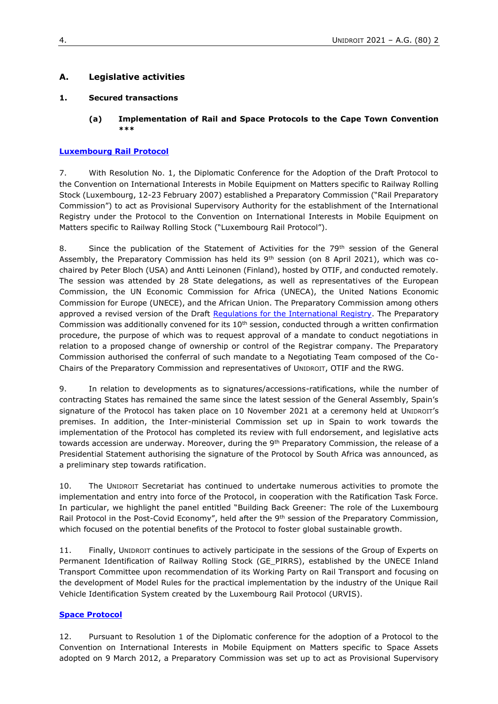## **A. Legislative activities**

#### **1. Secured transactions**

#### **(a) Implementation of Rail and Space Protocols to the Cape Town Convention \*\*\***

#### **[Luxembourg Rail Protocol](https://www.unidroit.org/work-in-progress/rail-prepcom/)**

7. With Resolution No. 1, the Diplomatic Conference for the Adoption of the Draft Protocol to the Convention on International Interests in Mobile Equipment on Matters specific to Railway Rolling Stock (Luxembourg, 12-23 February 2007) established a Preparatory Commission ("Rail Preparatory Commission") to act as Provisional Supervisory Authority for the establishment of the International Registry under the Protocol to the Convention on International Interests in Mobile Equipment on Matters specific to Railway Rolling Stock ("Luxembourg Rail Protocol").

8. Since the publication of the Statement of Activities for the 79<sup>th</sup> session of the General Assembly, the Preparatory Commission has held its 9<sup>th</sup> session (on 8 April 2021), which was cochaired by Peter Bloch (USA) and Antti Leinonen (Finland), hosted by OTIF, and conducted remotely. The session was attended by 28 State delegations, as well as representatives of the European Commission, the UN Economic Commission for Africa (UNECA), the United Nations Economic Commission for Europe (UNECE), and the African Union. The Preparatory Commission among others approved a revised version of the Draft Requlations for the International Registry. The Preparatory Commission was additionally convened for its  $10<sup>th</sup>$  session, conducted through a written confirmation procedure, the purpose of which was to request approval of a mandate to conduct negotiations in relation to a proposed change of ownership or control of the Registrar company. The Preparatory Commission authorised the conferral of such mandate to a Negotiating Team composed of the Co-Chairs of the Preparatory Commission and representatives of UNIDROIT, OTIF and the RWG.

9. In relation to developments as to signatures/accessions-ratifications, while the number of contracting States has remained the same since the latest session of the General Assembly, Spain's signature of the Protocol has taken place on 10 November 2021 at a ceremony held at UNIDROIT's premises. In addition, the Inter-ministerial Commission set up in Spain to work towards the implementation of the Protocol has completed its review with full endorsement, and legislative acts towards accession are underway. Moreover, during the 9<sup>th</sup> Preparatory Commission, the release of a Presidential Statement authorising the signature of the Protocol by South Africa was announced, as a preliminary step towards ratification.

10. The UNIDROIT Secretariat has continued to undertake numerous activities to promote the implementation and entry into force of the Protocol, in cooperation with the Ratification Task Force. In particular, we highlight the panel entitled "Building Back Greener: The role of the Luxembourg Rail Protocol in the Post-Covid Economy", held after the 9<sup>th</sup> session of the Preparatory Commission, which focused on the potential benefits of the Protocol to foster global sustainable growth.

11. Finally, UNIDROIT continues to actively participate in the sessions of the Group of Experts on Permanent Identification of Railway Rolling Stock (GE\_PIRRS), established by the UNECE Inland Transport Committee upon recommendation of its Working Party on Rail Transport and focusing on the development of Model Rules for the practical implementation by the industry of the Unique Rail Vehicle Identification System created by the Luxembourg Rail Protocol (URVIS).

#### **[Space Protocol](https://www.unidroit.org/work-in-progress/space-prepcom/)**

12. Pursuant to Resolution 1 of the Diplomatic conference for the adoption of a Protocol to the Convention on International Interests in Mobile Equipment on Matters specific to Space Assets adopted on 9 March 2012, a Preparatory Commission was set up to act as Provisional Supervisory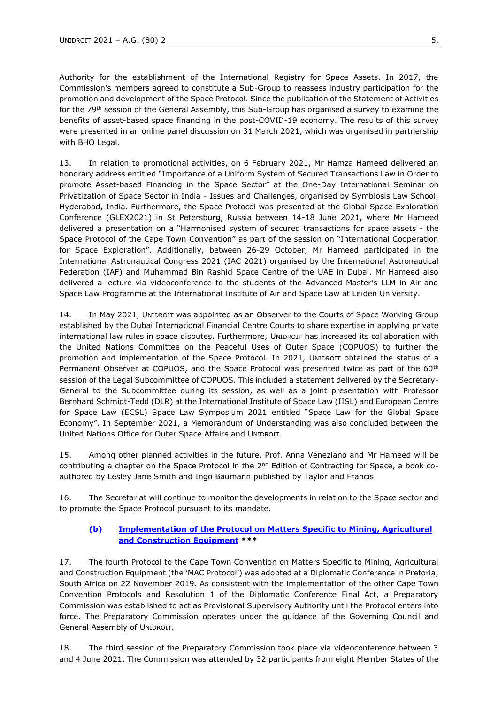Authority for the establishment of the International Registry for Space Assets. In 2017, the Commission's members agreed to constitute a Sub-Group to reassess industry participation for the promotion and development of the Space Protocol. Since the publication of the Statement of Activities for the 79<sup>th</sup> session of the General Assembly, this Sub-Group has organised a survey to examine the benefits of asset-based space financing in the post-COVID-19 economy. The results of this survey were presented in an online panel discussion on 31 March 2021, which was organised in partnership with BHO Legal.

13. In relation to promotional activities, on 6 February 2021, Mr Hamza Hameed delivered an honorary address entitled "Importance of a Uniform System of Secured Transactions Law in Order to promote Asset-based Financing in the Space Sector" at the One-Day International Seminar on Privatization of Space Sector in India - Issues and Challenges, organised by Symbiosis Law School, Hyderabad, India. Furthermore, the Space Protocol was presented at the Global Space Exploration Conference (GLEX2021) in St Petersburg, Russia between 14-18 June 2021, where Mr Hameed delivered a presentation on a "Harmonised system of secured transactions for space assets - the Space Protocol of the Cape Town Convention" as part of the session on "International Cooperation for Space Exploration". Additionally, between 26-29 October, Mr Hameed participated in the International Astronautical Congress 2021 (IAC 2021) organised by the International Astronautical Federation (IAF) and Muhammad Bin Rashid Space Centre of the UAE in Dubai. Mr Hameed also delivered a lecture via videoconference to the students of the Advanced Master's LLM in Air and Space Law Programme at the International Institute of Air and Space Law at Leiden University.

14. In May 2021, UNIDROIT was appointed as an Observer to the Courts of Space Working Group established by the Dubai International Financial Centre Courts to share expertise in applying private international law rules in space disputes. Furthermore, UNIDROIT has increased its collaboration with the United Nations Committee on the Peaceful Uses of Outer Space (COPUOS) to further the promotion and implementation of the Space Protocol. In 2021, UNIDROIT obtained the status of a Permanent Observer at COPUOS, and the Space Protocol was presented twice as part of the 60<sup>th</sup> session of the Legal Subcommittee of COPUOS. This included a statement delivered by the Secretary-General to the Subcommittee during its session, as well as a joint presentation with Professor Bernhard Schmidt-Tedd (DLR) at the International Institute of Space Law (IISL) and European Centre for Space Law (ECSL) Space Law Symposium 2021 entitled "Space Law for the Global Space Economy". In September 2021, a Memorandum of Understanding was also concluded between the United Nations Office for Outer Space Affairs and UNIDROIT.

15. Among other planned activities in the future, Prof. Anna Veneziano and Mr Hameed will be contributing a chapter on the Space Protocol in the  $2^{nd}$  Edition of Contracting for Space, a book coauthored by Lesley Jane Smith and Ingo Baumann published by Taylor and Francis.

16. The Secretariat will continue to monitor the developments in relation to the Space sector and to promote the Space Protocol pursuant to its mandate.

#### **(b) [Implementation of the Protocol on Matters Specific to Mining, Agricultural](https://www.unidroit.org/work-in-progress/mac-prepcom/)  [and Construction Equipment](https://www.unidroit.org/work-in-progress/mac-prepcom/) \*\*\***

17. The fourth Protocol to the Cape Town Convention on Matters Specific to Mining, Agricultural and Construction Equipment (the 'MAC Protocol') was adopted at a Diplomatic Conference in Pretoria, South Africa on 22 November 2019. As consistent with the implementation of the other Cape Town Convention Protocols and Resolution 1 of the Diplomatic Conference Final Act, a Preparatory Commission was established to act as Provisional Supervisory Authority until the Protocol enters into force. The Preparatory Commission operates under the guidance of the Governing Council and General Assembly of UNIDROIT.

18. The third session of the Preparatory Commission took place via videoconference between 3 and 4 June 2021. The Commission was attended by 32 participants from eight Member States of the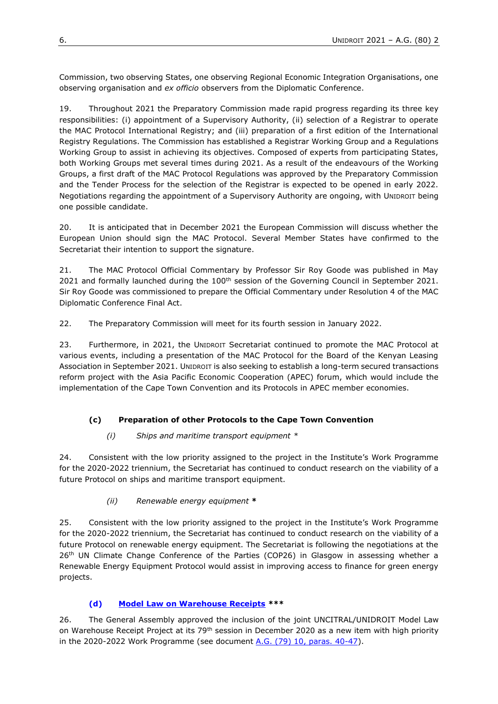Commission, two observing States, one observing Regional Economic Integration Organisations, one observing organisation and *ex officio* observers from the Diplomatic Conference.

19. Throughout 2021 the Preparatory Commission made rapid progress regarding its three key responsibilities: (i) appointment of a Supervisory Authority, (ii) selection of a Registrar to operate the MAC Protocol International Registry; and (iii) preparation of a first edition of the International Registry Regulations. The Commission has established a Registrar Working Group and a Regulations Working Group to assist in achieving its objectives. Composed of experts from participating States, both Working Groups met several times during 2021. As a result of the endeavours of the Working Groups, a first draft of the MAC Protocol Regulations was approved by the Preparatory Commission and the Tender Process for the selection of the Registrar is expected to be opened in early 2022. Negotiations regarding the appointment of a Supervisory Authority are ongoing, with UNIDROIT being one possible candidate.

20. It is anticipated that in December 2021 the European Commission will discuss whether the European Union should sign the MAC Protocol. Several Member States have confirmed to the Secretariat their intention to support the signature.

21. The MAC Protocol Official Commentary by Professor Sir Roy Goode was published in May 2021 and formally launched during the 100<sup>th</sup> session of the Governing Council in September 2021. Sir Roy Goode was commissioned to prepare the Official Commentary under Resolution 4 of the MAC Diplomatic Conference Final Act.

22. The Preparatory Commission will meet for its fourth session in January 2022.

23. Furthermore, in 2021, the UNIDROIT Secretariat continued to promote the MAC Protocol at various events, including a presentation of the MAC Protocol for the Board of the Kenyan Leasing Association in September 2021. UNIDROIT is also seeking to establish a long-term secured transactions reform project with the Asia Pacific Economic Cooperation (APEC) forum, which would include the implementation of the Cape Town Convention and its Protocols in APEC member economies.

# **(c) Preparation of other Protocols to the Cape Town Convention**

#### *(i) Ships and maritime transport equipment \**

24. Consistent with the low priority assigned to the project in the Institute's Work Programme for the 2020-2022 triennium, the Secretariat has continued to conduct research on the viability of a future Protocol on ships and maritime transport equipment.

#### *(ii) Renewable energy equipment* **\***

25. Consistent with the low priority assigned to the project in the Institute's Work Programme for the 2020-2022 triennium, the Secretariat has continued to conduct research on the viability of a future Protocol on renewable energy equipment. The Secretariat is following the negotiations at the 26<sup>th</sup> UN Climate Change Conference of the Parties (COP26) in Glasgow in assessing whether a Renewable Energy Equipment Protocol would assist in improving access to finance for green energy projects.

# **(d) [Model Law on Warehouse Receipts](https://www.unidroit.org/work-in-progress/model-law-on-warehouse-receipts/) \*\*\***

26. The General Assembly approved the inclusion of the joint UNCITRAL/UNIDROIT Model Law on Warehouse Receipt Project at its 79<sup>th</sup> session in December 2020 as a new item with high priority in the 2020-2022 Work Programme (see document  $A.G. (79)$  10, paras.  $40-47$ ).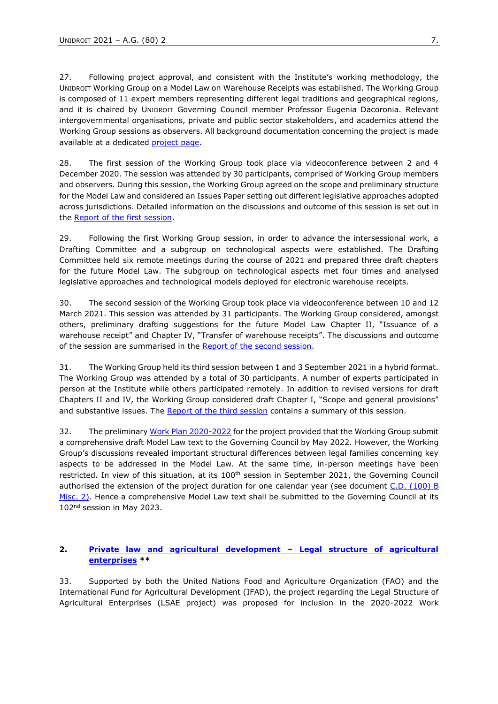27. Following project approval, and consistent with the Institute's working methodology, the UNIDROIT Working Group on a Model Law on Warehouse Receipts was established. The Working Group is composed of 11 expert members representing different legal traditions and geographical regions, and it is chaired by UNIDROIT Governing Council member Professor Eugenia Dacoronia. Relevant intergovernmental organisations, private and public sector stakeholders, and academics attend the Working Group sessions as observers. All background documentation concerning the project is made available at a dedicated [project page.](https://www.unidroit.org/work-in-progress/model-law-on-warehouse-receipts/#1456405893720-a55ec26a-b30a)

28. The first session of the Working Group took place via videoconference between 2 and 4 December 2020. The session was attended by 30 participants, comprised of Working Group members and observers. During this session, the Working Group agreed on the scope and preliminary structure for the Model Law and considered an Issues Paper setting out different legislative approaches adopted across jurisdictions. Detailed information on the discussions and outcome of this session is set out in the [Report of the first session.](https://www.unidroit.org/english/documents/2021/study83/wg01/s-83-wg01-05-e.pdf)

29. Following the first Working Group session, in order to advance the intersessional work, a Drafting Committee and a subgroup on technological aspects were established. The Drafting Committee held six remote meetings during the course of 2021 and prepared three draft chapters for the future Model Law. The subgroup on technological aspects met four times and analysed legislative approaches and technological models deployed for electronic warehouse receipts.

30. The second session of the Working Group took place via videoconference between 10 and 12 March 2021. This session was attended by 31 participants. The Working Group considered, amongst others, preliminary drafting suggestions for the future Model Law Chapter II, "Issuance of a warehouse receipt" and Chapter IV, "Transfer of warehouse receipts". The discussions and outcome of the session are summarised in the [Report of the second session.](https://www.unidroit.org/english/documents/2021/study83/wg02/s-83-wg02-04-e.pdf)

31. The Working Group held its third session between 1 and 3 September 2021 in a hybrid format. The Working Group was attended by a total of 30 participants. A number of experts participated in person at the Institute while others participated remotely. In addition to revised versions for draft Chapters II and IV, the Working Group considered draft Chapter I, "Scope and general provisions" and substantive issues. The [Report of the third session](https://www.unidroit.org/wp-content/uploads/2021/10/s-83-wg03-04-e.pdf) contains a summary of this session.

32. The preliminary [Work Plan 2020-2022](https://www.unidroit.org/english/documents/2020/study83/wg01/s-83-wg01-01-e.pdf) for the project provided that the Working Group submit a comprehensive draft Model Law text to the Governing Council by May 2022. However, the Working Group's discussions revealed important structural differences between legal families concerning key aspects to be addressed in the Model Law. At the same time, in-person meetings have been restricted. In view of this situation, at its 100<sup>th</sup> session in September 2021, the Governing Council authorised the extension of the project duration for one calendar year (see document *C.D. (100) B* [Misc. 2\).](https://www.unidroit.org/wp-content/uploads/2021/10/C.D.-100-B-Misc.-2-Summary-conclusions.pdf) Hence a comprehensive Model Law text shall be submitted to the Governing Council at its 102nd session in May 2023.

#### **2. [Private law and agricultural development](https://www.unidroit.org/work-in-progress/legal-structure-of-agri-enterprise/) – Legal structure of agricultural [enterprises](https://www.unidroit.org/work-in-progress/legal-structure-of-agri-enterprise/) \*\***

33. Supported by both the United Nations Food and Agriculture Organization (FAO) and the International Fund for Agricultural Development (IFAD), the project regarding the Legal Structure of Agricultural Enterprises (LSAE project) was proposed for inclusion in the 2020-2022 Work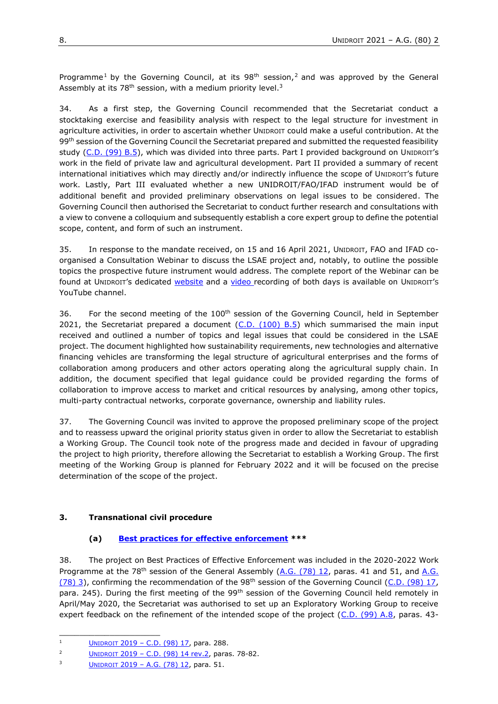Programme<sup>1</sup> by the Governing Council, at its  $98<sup>th</sup>$  session,<sup>2</sup> and was approved by the General Assembly at its  $78<sup>th</sup>$  session, with a medium priority level.<sup>3</sup>

34. As a first step, the Governing Council recommended that the Secretariat conduct a stocktaking exercise and feasibility analysis with respect to the legal structure for investment in agriculture activities, in order to ascertain whether UNIDROIT could make a useful contribution. At the 99<sup>th</sup> session of the Governing Council the Secretariat prepared and submitted the requested feasibility study [\(C.D. \(99\) B.5\)](https://www.unidroit.org/english/governments/councildocuments/2020session/cd-99-b/cd-99-b-05-e.pdf), which was divided into three parts. Part I provided background on UNIDROIT's work in the field of private law and agricultural development. Part II provided a summary of recent international initiatives which may directly and/or indirectly influence the scope of UNIDROIT's future work. Lastly, Part III evaluated whether a new UNIDROIT/FAO/IFAD instrument would be of additional benefit and provided preliminary observations on legal issues to be considered. The Governing Council then authorised the Secretariat to conduct further research and consultations with a view to convene a colloquium and subsequently establish a core expert group to define the potential scope, content, and form of such an instrument.

35. In response to the mandate received, on 15 and 16 April 2021, UNIDROIT, FAO and IFAD coorganised a Consultation Webinar to discuss the LSAE project and, notably, to outline the possible topics the prospective future instrument would address. The complete [repo](https://www.unidroit.org/work-in-progress/legal-structure-of-aghttps:/www.unidroit.org/work-in-progress/legal-structure-of-agri-enterpriseri-enterprise)rt [of the Webinar c](https://www.unidroit.org/work-in-progress/legal-structure-of-aghttps:/www.unidroit.org/work-in-progress/legal-structure-of-agri-enterpriseri-enterprise)an be found at [U](https://www.unidroit.org/work-in-progress/legal-structure-of-aghttps:/www.unidroit.org/work-in-progress/legal-structure-of-agri-enterpriseri-enterprise)[NIDROIT](https://www.unidroit.org/work-in-progress/legal-structure-of-aghttps:/www.unidroit.org/work-in-progress/legal-structure-of-agri-enterpriseri-enterprise)'s [dedicated website](https://www.unidroit.org/work-in-progress/legal-structure-of-aghttps:/www.unidroit.org/work-in-progress/legal-structure-of-agri-enterpriseri-enterprise) and a [video](https://www.youtube.com/watch?v=WdefvYGGbTs) recording of both days is available on UNIDROIT's YouTube channel.

36. For the second meeting of the 100<sup>th</sup> session of the Governing Council, held in September 2021, the Secretariat prepared a document  $(C.D. (100) B.5)$  which summarised the main input received and outlined a number of topics and legal issues that could be considered in the LSAE project. The document highlighted how sustainability requirements, new technologies and alternative financing vehicles are transforming the legal structure of agricultural enterprises and the forms of collaboration among producers and other actors operating along the agricultural supply chain. In addition, the document specified that legal guidance could be provided regarding the forms of collaboration to improve access to market and critical resources by analysing, among other topics, multi-party contractual networks, corporate governance, ownership and liability rules.

37. The Governing Council was invited to approve the proposed preliminary scope of the project and to reassess upward the original priority status given in order to allow the Secretariat to establish a Working Group. The Council took note of the progress made and decided in favour of upgrading the project to high priority, therefore allowing the Secretariat to establish a Working Group. The first meeting of the Working Group is planned for February 2022 and it will be focused on the precise determination of the scope of the project.

#### **3. Transnational civil procedure**

#### **(a) Best practices for [effective enforcement](https://www.unidroit.org/work-in-progress/enforcement-best-practices/) \*\*\***

38. The project on Best Practices of Effective Enforcement was included in the 2020-2022 Work Programme at the 78<sup>th</sup> session of the General Assembly  $(A.G., (78) 12)$ , paras. 41 and 51, and  $A.G.,$ [\(78\) 3\)](https://www.unidroit.org/english/governments/assemblydocuments/2019-78session/ag-78-03-e.pdf), confirming the recommendation of the 98<sup>th</sup> session of the Governing Council [\(C.D. \(98\) 17,](https://www.unidroit.org/english/governments/councildocuments/2019session/cd-98-17-e.pdf) para. 245). During the first meeting of the 99<sup>th</sup> session of the Governing Council held remotely in April/May 2020, the Secretariat was authorised to set up an Exploratory Working Group to receive expert feedback on the refinement of the intended scope of the project [\(C.D. \(99\) A.8,](https://www.unidroit.org/english/governments/councildocuments/2020session/cd-99-a-08-e.pdf) paras. 43-

\_\_\_\_\_\_\_\_\_\_\_\_\_\_\_\_\_\_\_\_

<sup>&</sup>lt;sup>1</sup> [U](https://www.unidroit.org/english/governments/councildocuments/2019session/cd-98-17-e.pdf)[NIDROIT](https://www.unidroit.org/english/governments/councildocuments/2019session/cd-98-17-e.pdf)  $2019 - C.D. (98) 17$ , para. 288.

<sup>2</sup> U[NIDROIT](https://www.unidroit.org/english/governments/councildocuments/2019session/cd-98-14-rev02-e.pdf) 2019 – [C.D. \(98\) 14 rev.2,](https://www.unidroit.org/english/governments/councildocuments/2019session/cd-98-14-rev02-e.pdf) paras. 78-82.

<sup>&</sup>lt;sup>3</sup> [U](https://www.unidroit.org/english/governments/assemblydocuments/2019-78session/ag-78-12-e.pdf)[NIDROIT](https://www.unidroit.org/english/governments/assemblydocuments/2019-78session/ag-78-12-e.pdf) 2019 – A.G.  $(78)$  12, para. 51.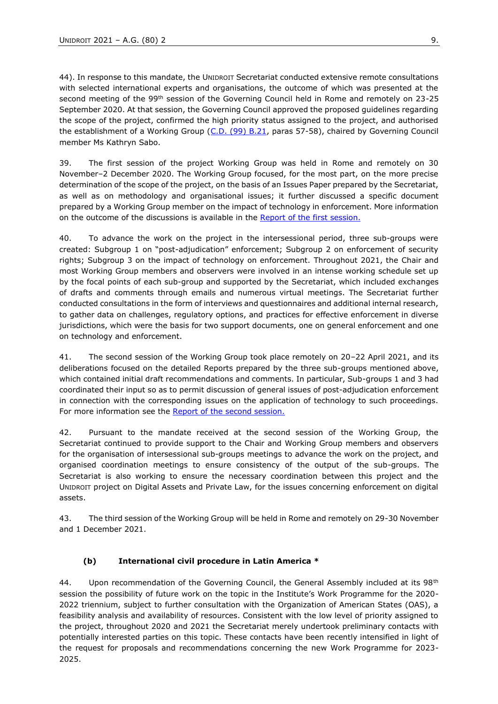44). In response to this mandate, the UNIDROIT Secretariat conducted extensive remote consultations with selected international experts and organisations, the outcome of which was presented at the second meeting of the 99<sup>th</sup> session of the Governing Council held in Rome and remotely on 23-25 September 2020. At that session, the Governing Council approved the proposed guidelines regarding the scope of the project, confirmed the high priority status assigned to the project, and authorised the establishment of a Working Group (C.D. [\(99\) B.21,](https://www.unidroit.org/english/governments/councildocuments/2020session/cd-99-b/cd-99-b-21-e.pdf) paras 57-58), chaired by Governing Council member Ms Kathryn Sabo.

39. The first session of the project Working Group was held in Rome and remotely on 30 November–2 December 2020. The Working Group focused, for the most part, on the more precise determination of the scope of the project, on the basis of an Issues Paper prepared by the Secretariat, as well as on methodology and organisational issues; it further discussed a specific document prepared by a Working Group member on the impact of technology in enforcement. More information on the outcome of the discussions is available in the [Report](https://www.unidroit.org/english/documents/2020/study76b/wg-01/s-76b-wg-01-04-e.pdf) of the first session.

40. To advance the work on the project in the intersessional period, three sub-groups were created: Subgroup 1 on "post-adjudication" enforcement; Subgroup 2 on enforcement of security rights; Subgroup 3 on the impact of technology on enforcement. Throughout 2021, the Chair and most Working Group members and observers were involved in an intense working schedule set up by the focal points of each sub-group and supported by the Secretariat, which included exchanges of drafts and comments through emails and numerous virtual meetings. The Secretariat further conducted consultations in the form of interviews and questionnaires and additional internal research, to gather data on challenges, regulatory options, and practices for effective enforcement in diverse jurisdictions, which were the basis for two support documents, one on general enforcement and one on technology and enforcement.

41. The second session of the Working Group took place remotely on 20–22 April 2021, and its deliberations focused on the detailed Reports prepared by the three sub-groups mentioned above, which contained initial draft recommendations and comments. In particular, Sub-groups 1 and 3 had coordinated their input so as to permit discussion of general issues of post-adjudication enforcement in connection with the corresponding issues on the application of technology to such proceedings. For more information see the [Report](https://www.unidroit.org/english/documents/2021/study76b/wg02/s-76b-wg02-06-e.pdf) of the second session.

42. Pursuant to the mandate received at the second session of the Working Group, the Secretariat continued to provide support to the Chair and Working Group members and observers for the organisation of intersessional sub-groups meetings to advance the work on the project, and organised coordination meetings to ensure consistency of the output of the sub-groups. The Secretariat is also working to ensure the necessary coordination between this project and the UNIDROIT project on Digital Assets and Private Law, for the issues concerning enforcement on digital assets.

43. The third session of the Working Group will be held in Rome and remotely on 29-30 November and 1 December 2021.

# **(b) International civil procedure in Latin America \***

44. Upon recommendation of the Governing Council, the General Assembly included at its 98<sup>th</sup> session the possibility of future work on the topic in the Institute's Work Programme for the 2020- 2022 triennium, subject to further consultation with the Organization of American States (OAS), a feasibility analysis and availability of resources. Consistent with the low level of priority assigned to the project, throughout 2020 and 2021 the Secretariat merely undertook preliminary contacts with potentially interested parties on this topic. These contacts have been recently intensified in light of the request for proposals and recommendations concerning the new Work Programme for 2023- 2025.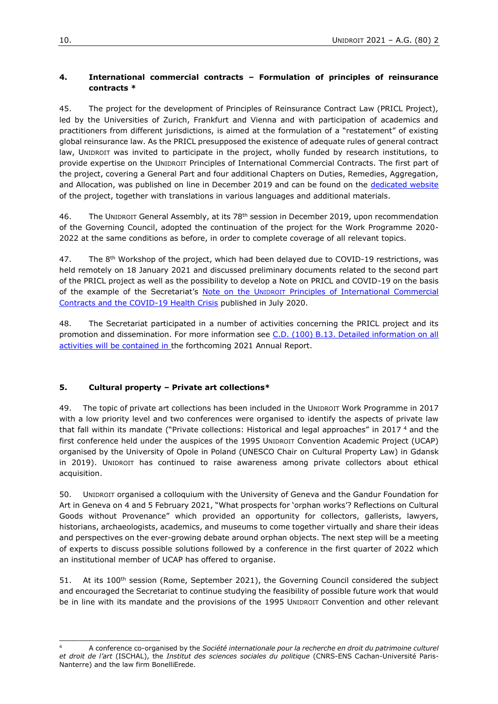### **4. International commercial contracts – Formulation of principles of reinsurance contracts \***

45. The project for the development of Principles of Reinsurance Contract Law (PRICL Project), led by the Universities of Zurich, Frankfurt and Vienna and with participation of academics and practitioners from different jurisdictions, is aimed at the formulation of a "restatement" of existing global reinsurance law. As the PRICL presupposed the existence of adequate rules of general contract law, UNIDROIT was invited to participate in the project, wholly funded by research institutions, to provide expertise on the UNIDROIT Principles of International Commercial Contracts. The first part of the project, covering a General Part and four additional Chapters on Duties, Remedies, Aggregation, and Allocation, was published on line in December 2019 and can be found on the [dedicated website](https://www.ius.uzh.ch/de/research/projects/pricl.html,) of the project, together with translations in various languages and additional materials.

46. The UNIDROIT General Assembly, at its 78<sup>th</sup> session in December 2019, upon recommendation of the Governing Council, adopted the continuation of the project for the Work Programme 2020- 2022 at the same conditions as before, in order to complete coverage of all relevant topics.

47. The 8<sup>th</sup> Workshop of the project, which had been delayed due to COVID-19 restrictions, was held remotely on 18 January 2021 and discussed preliminary documents related to the second part of the PRICL project as well as the possibility to develop a Note on PRICL and COVID-19 on the basis of the example of the Secretariat's Note on the UNIDROIT Principles of International Commercial [Contracts and the COVID-19 Health Crisis](https://www.unidroit.org/english/news/2020/200721-principles-covid19-note/note-e.pdf) published in July 2020.

48. The Secretariat participated in a number of activities concerning the PRICL project and its promotion and dissemination. For more information see [C.D. \(100\) B.13.](https://www.unidroit.org/english/governments/councildocuments/2021session/cd-100-b/cd-100-b-13-e.pdf) Detailed information on all activities will be contained in the forthcoming 2021 Annual Report.

#### **5. Cultural property – Private art collections\***

\_\_\_\_\_\_\_\_\_\_\_\_\_\_\_\_\_\_\_\_

49. The topic of private art collections has been included in the UNIDROIT Work Programme in 2017 with a low priority level and two conferences were organised to identify the aspects of private law that fall within its mandate ("Private collections: Historical and legal approaches" in 2017 <sup>4</sup> and the first conference held under the auspices of the 1995 UNIDROIT Convention Academic Project (UCAP) organised by the University of Opole in Poland (UNESCO Chair on Cultural Property Law) in Gdansk in 2019). UNIDROIT has continued to raise awareness among private collectors about ethical acquisition.

50. UNIDROIT organised a colloquium with the University of Geneva and the Gandur Foundation for Art in Geneva on 4 and 5 February 2021, "What prospects for 'orphan works'? Reflections on Cultural Goods without Provenance" which provided an opportunity for collectors, gallerists, lawyers, historians, archaeologists, academics, and museums to come together virtually and share their ideas and perspectives on the ever-growing debate around orphan objects. The next step will be a meeting of experts to discuss possible solutions followed by a conference in the first quarter of 2022 which an institutional member of UCAP has offered to organise.

51. At its 100<sup>th</sup> session (Rome, September 2021), the Governing Council considered the subject and encouraged the Secretariat to continue studying the feasibility of possible future work that would be in line with its mandate and the provisions of the 1995 UNIDROIT Convention and other relevant

<sup>4</sup> A conference co-organised by the *Société internationale pour la recherche en droit du patrimoine culturel et droit de l'art* (ISCHAL), the *Institut des sciences sociales du politique* (CNRS-ENS Cachan-Université Paris-Nanterre) and the law firm BonelliErede.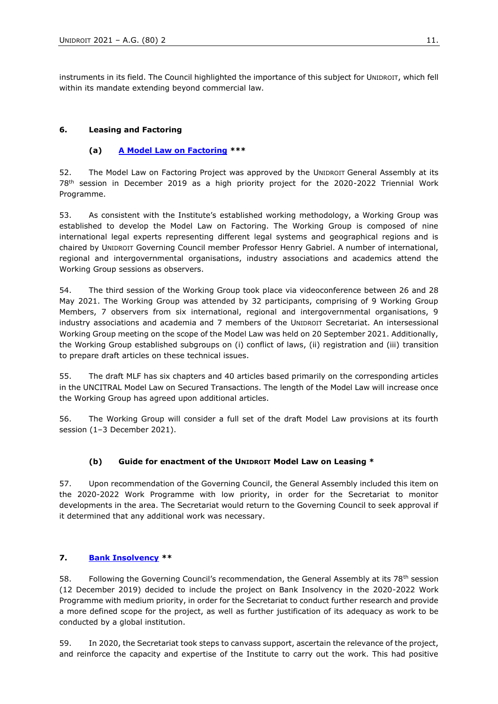instruments in its field. The Council highlighted the importance of this subject for UNIDROIT, which fell within its mandate extending beyond commercial law.

### **6. Leasing and Factoring**

### **(a) [A Model Law on Factoring](https://www.unidroit.org/work-in-progress/factoring-model-law/) \*\*\***

52. The Model Law on Factoring Project was approved by the UNIDROIT General Assembly at its 78th session in December 2019 as a high priority project for the 2020-2022 Triennial Work Programme.

53. As consistent with the Institute's established working methodology, a Working Group was established to develop the Model Law on Factoring. The Working Group is composed of nine international legal experts representing different legal systems and geographical regions and is chaired by UNIDROIT Governing Council member Professor Henry Gabriel. A number of international, regional and intergovernmental organisations, industry associations and academics attend the Working Group sessions as observers.

54. The third session of the Working Group took place via videoconference between 26 and 28 May 2021. The Working Group was attended by 32 participants, comprising of 9 Working Group Members, 7 observers from six international, regional and intergovernmental organisations, 9 industry associations and academia and 7 members of the UNIDROIT Secretariat. An intersessional Working Group meeting on the scope of the Model Law was held on 20 September 2021. Additionally, the Working Group established subgroups on (i) conflict of laws, (ii) registration and (iii) transition to prepare draft articles on these technical issues.

55. The draft MLF has six chapters and 40 articles based primarily on the corresponding articles in the UNCITRAL Model Law on Secured Transactions. The length of the Model Law will increase once the Working Group has agreed upon additional articles.

56. The Working Group will consider a full set of the draft Model Law provisions at its fourth session (1–3 December 2021).

#### **(b) Guide for enactment of the UNIDROIT Model Law on Leasing \***

57. Upon recommendation of the Governing Council, the General Assembly included this item on the 2020-2022 Work Programme with low priority, in order for the Secretariat to monitor developments in the area. The Secretariat would return to the Governing Council to seek approval if it determined that any additional work was necessary.

### **7. [Bank Insolvency](https://www.unidroit.org/work-in-progress/bank-insolvency/) \*\***

58. Following the Governing Council's recommendation, the General Assembly at its  $78<sup>th</sup>$  session (12 December 2019) decided to include the project on Bank Insolvency in the 2020-2022 Work Programme with medium priority, in order for the Secretariat to conduct further research and provide a more defined scope for the project, as well as further justification of its adequacy as work to be conducted by a global institution.

59. In 2020, the Secretariat took steps to canvass support, ascertain the relevance of the project, and reinforce the capacity and expertise of the Institute to carry out the work. This had positive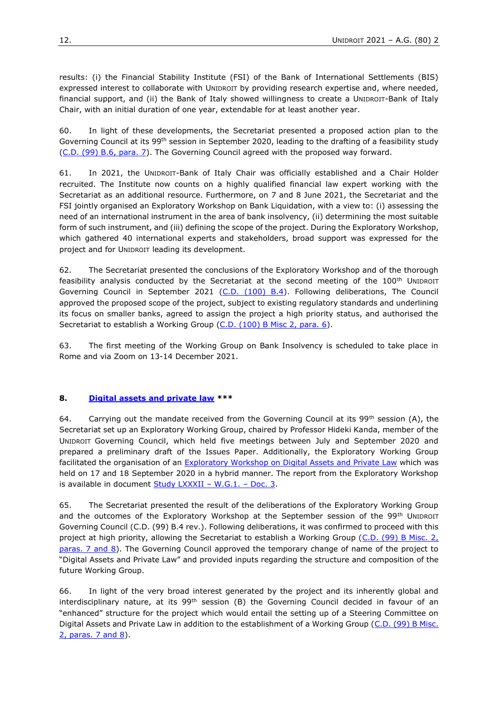results: (i) the Financial Stability Institute (FSI) of the Bank of International Settlements (BIS) expressed interest to collaborate with UNIDROIT by providing research expertise and, where needed, financial support, and (ii) the Bank of Italy showed willingness to create a UNIDROIT-Bank of Italy Chair, with an initial duration of one year, extendable for at least another year.

60. In light of these developments, the Secretariat presented a proposed action plan to the Governing Council at its 99<sup>th</sup> session in September 2020, leading to the drafting of a feasibility study [\(C.D. \(99\) B.6, para. 7](https://www.unidroit.org/english/governments/councildocuments/2020session/cd-99-b/cd-99-b-06-e.pdf)). The Governing Council agreed with the proposed way forward.

61. In 2021, the UNIDROIT-Bank of Italy Chair was officially established and a Chair Holder recruited. The Institute now counts on a highly qualified financial law expert working with the Secretariat as an additional resource. Furthermore, on 7 and 8 June 2021, the Secretariat and the FSI jointly organised an Exploratory Workshop on Bank Liquidation, with a view to: (i) assessing the need of an international instrument in the area of bank insolvency, (ii) determining the most suitable form of such instrument, and (iii) defining the scope of the project. During the Exploratory Workshop, which gathered 40 international experts and stakeholders, broad support was expressed for the project and for UNIDROIT leading its development.

62. The Secretariat presented the conclusions of the Exploratory Workshop and of the thorough feasibility analysis conducted by the Secretariat at the second meeting of the 100<sup>th</sup> UNIDROIT Governing Council in September 2021 [\(C.D. \(100\) B.4\)](https://www.unidroit.org/english/governments/councildocuments/2021session/cd-100-b/cd-100-b-04-e.pdf). Following deliberations, The Council approved the proposed scope of the project, subject to existing regulatory standards and underlining its focus on smaller banks, agreed to assign the project a high priority status, and authorised the Secretariat to establish a Working Group [\(C.D. \(100\) B Misc 2, para. 6\)](https://www.unidroit.org/wp-content/uploads/2021/10/C.D.-100-B-Misc.-2-Summary-conclusions.pdf).

63. The first meeting of the Working Group on Bank Insolvency is scheduled to take place in Rome and via Zoom on 13-14 December 2021.

#### **8. [Digital assets and private law](https://www.unidroit.org/work-in-progress/digital-assets-and-private-law/) \*\*\***

64. Carrying out the mandate received from the Governing Council at its  $99^{th}$  session (A), the Secretariat set up an Exploratory Working Group, chaired by Professor Hideki Kanda, member of the UNIDROIT Governing Council, which held five meetings between July and September 2020 and prepared a preliminary draft of the Issues Paper. Additionally, the Exploratory Working Group facilitated the organisation of an [Exploratory Workshop on Digital Assets and Private Law](https://www.unidroit.org/english/documents/2021/study82/wg01/s-82-wg01-03-e.pdf) which was held on 17 and 18 September 2020 in a hybrid manner. The report from the Exploratory Workshop is available in document  $Study LXXXII - W.G.1. - Doc. 3.$ 

65. The Secretariat presented the result of the deliberations of the Exploratory Working Group and the outcomes of the Exploratory Workshop at the September session of the 99<sup>th</sup> UNIDROIT Governing Council [\(C.D. \(99\) B.4 rev.\).](https://www.unidroit.org/english/governments/councildocuments/2020session/cd-99-b/cd-99-b-04-rev-e.pdf) Following deliberations, it was confirmed to proceed with this project at high priority, allowing the Secretariat to establish a Working Group (C.D. (99) B Misc. 2, [paras. 7 and 8\)](https://www.unidroit.org/english/governments/councildocuments/2020session/cd-99-b/cd-99-b-misc02-e.pdf). The Governing Council approved the temporary change of name of the project to "Digital Assets and Private Law" and provided inputs regarding the structure and composition of the future Working Group.

66. In light of the very broad interest generated by the project and its inherently global and interdisciplinary nature, at its 99<sup>th</sup> session (B) the Governing Council decided in favour of an "enhanced" structure for the project which would entail the setting up of a Steering Committee on Digital Assets and Private Law in addition to the establishment of a Working Group (C.D. (99) B Misc. [2, paras. 7 and 8\)](https://www.unidroit.org/english/governments/councildocuments/2020session/cd-99-b/cd-99-b-misc02-e.pdf).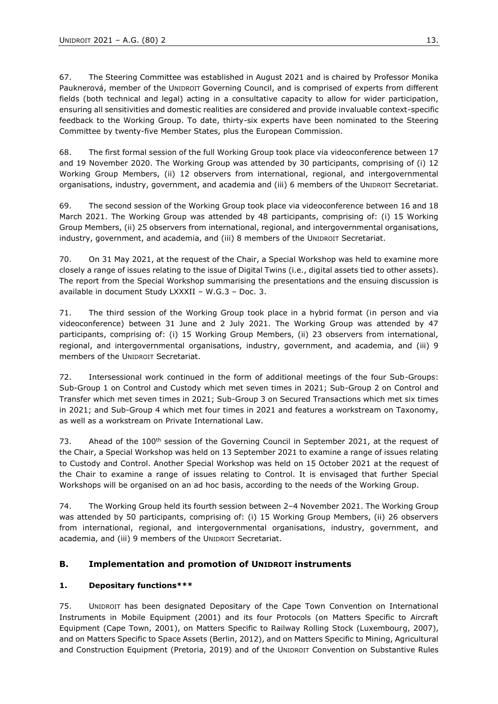67. The Steering Committee was established in August 2021 and is chaired by Professor Monika Pauknerová, member of the UNIDROIT Governing Council, and is comprised of experts from different fields (both technical and legal) acting in a consultative capacity to allow for wider participation, ensuring all sensitivities and domestic realities are considered and provide invaluable context-specific feedback to the Working Group. To date, thirty-six experts have been nominated to the Steering Committee by twenty-five Member States, plus the European Commission.

68. The first formal session of the full Working Group took place via videoconference between 17 and 19 November 2020. The Working Group was attended by 30 participants, comprising of (i) 12 Working Group Members, (ii) 12 observers from international, regional, and intergovernmental organisations, industry, government, and academia and (iii) 6 members of the UNIDROIT Secretariat.

69. The second session of the Working Group took place via videoconference between 16 and 18 March 2021. The Working Group was attended by 48 participants, comprising of: (i) 15 Working Group Members, (ii) 25 observers from international, regional, and intergovernmental organisations, industry, government, and academia, and (iii) 8 members of the UNIDROIT Secretariat.

70. On 31 May 2021, at the request of the Chair, a Special Workshop was held to examine more closely a range of issues relating to the issue of Digital Twins (i.e., digital assets tied to other assets). The report from the Special Workshop summarising the presentations and the ensuing discussion is available in document Study LXXXII – W.G.3 – Doc. 3.

71. The third session of the Working Group took place in a hybrid format (in person and via videoconference) between 31 June and 2 July 2021. The Working Group was attended by 47 participants, comprising of: (i) 15 Working Group Members, (ii) 23 observers from international, regional, and intergovernmental organisations, industry, government, and academia, and (iii) 9 members of the UNIDROIT Secretariat.

72. Intersessional work continued in the form of additional meetings of the four Sub-Groups: Sub-Group 1 on Control and Custody which met seven times in 2021; Sub-Group 2 on Control and Transfer which met seven times in 2021; Sub-Group 3 on Secured Transactions which met six times in 2021; and Sub-Group 4 which met four times in 2021 and features a workstream on Taxonomy, as well as a workstream on Private International Law.

73. Ahead of the 100<sup>th</sup> session of the Governing Council in September 2021, at the request of the Chair, a Special Workshop was held on 13 September 2021 to examine a range of issues relating to Custody and Control. Another Special Workshop was held on 15 October 2021 at the request of the Chair to examine a range of issues relating to Control. It is envisaged that further Special Workshops will be organised on an ad hoc basis, according to the needs of the Working Group.

74. The Working Group held its fourth session between 2–4 November 2021. The Working Group was attended by 50 participants, comprising of: (i) 15 Working Group Members, (ii) 26 observers from international, regional, and intergovernmental organisations, industry, government, and academia, and (iii) 9 members of the UNIDROIT Secretariat.

# **B. Implementation and promotion of UNIDROIT instruments**

# **1. Depositary functions\*\*\***

75. UNIDROIT has been designated Depositary of the Cape Town Convention on International Instruments in Mobile Equipment (2001) and its four Protocols (on Matters Specific to Aircraft Equipment (Cape Town, 2001), on Matters Specific to Railway Rolling Stock (Luxembourg, 2007), and on Matters Specific to Space Assets (Berlin, 2012), and on Matters Specific to Mining, Agricultural and Construction Equipment (Pretoria, 2019) and of the UNIDROIT Convention on Substantive Rules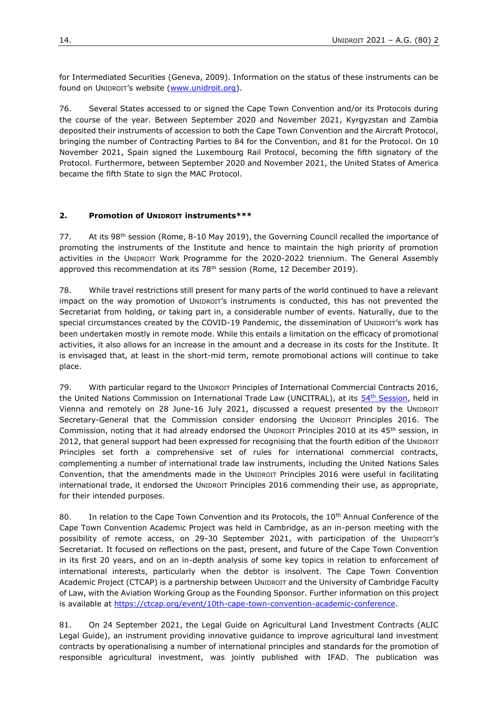for Intermediated Securities (Geneva, 2009). Information on the status of these instruments can be found on UNIDROIT's website ([www.unidroit.org\)](http://www.unidroit.org/).

76. Several States accessed to or signed the Cape Town Convention and/or its Protocols during the course of the year. Between September 2020 and November 2021, Kyrgyzstan and Zambia deposited their instruments of accession to both the Cape Town Convention and the Aircraft Protocol, bringing the number of Contracting Parties to 84 for the Convention, and 81 for the Protocol. On 10 November 2021, Spain signed the Luxembourg Rail Protocol, becoming the fifth signatory of the Protocol. Furthermore, between September 2020 and November 2021, the United States of America became the fifth State to sign the MAC Protocol.

#### **2. Promotion of UNIDROIT instruments\*\*\***

77. At its 98<sup>th</sup> session (Rome, 8-10 May 2019), the Governing Council recalled the importance of promoting the instruments of the Institute and hence to maintain the high priority of promotion activities in the UNIDROIT Work Programme for the 2020-2022 triennium. The General Assembly approved this recommendation at its 78<sup>th</sup> session (Rome, 12 December 2019).

78. While travel restrictions still present for many parts of the world continued to have a relevant impact on the way promotion of UNIDROIT's instruments is conducted, this has not prevented the Secretariat from holding, or taking part in, a considerable number of events. Naturally, due to the special circumstances created by the COVID-19 Pandemic, the dissemination of UNIDROIT's work has been undertaken mostly in remote mode. While this entails a limitation on the efficacy of promotional activities, it also allows for an increase in the amount and a decrease in its costs for the Institute. It is envisaged that, at least in the short-mid term, remote promotional actions will continue to take place.

79. With particular regard to the UNIDROIT Principles of International Commercial Contracts 2016, the United Nations Commission on International Trade Law (UNCITRAL), at its 54<sup>th</sup> [Session,](https://undocs.org/en/A/CN.9/1041/Rev.1) held in Vienna and remotely on 28 June-16 July 2021, discussed a request presented by the UNIDROIT Secretary-General that the Commission consider endorsing the UNIDROIT Principles 2016. The Commission, noting that it had already endorsed the UNIDROIT Principles 2010 at its 45<sup>th</sup> session, in 2012, that general support had been expressed for recognising that the fourth edition of the UNIDROIT Principles set forth a comprehensive set of rules for international commercial contracts, complementing a number of international trade law instruments, including the United Nations Sales Convention, that the amendments made in the UNIDROIT Principles 2016 were useful in facilitating international trade, it endorsed the UNIDROIT Principles 2016 commending their use, as appropriate, for their intended purposes.

80. In relation to the Cape Town Convention and its Protocols, the 10<sup>th</sup> Annual Conference of the Cape Town Convention Academic Project was held in Cambridge, as an in-person meeting with the possibility of remote access, on 29-30 September 2021, with participation of the UNIDROIT's Secretariat. It focused on reflections on the past, present, and future of the Cape Town Convention in its first 20 years, and on an in-depth analysis of some key topics in relation to enforcement of international interests, particularly when the debtor is insolvent. The Cape Town Convention Academic Project (CTCAP) is a partnership between UNIDROIT and the University of Cambridge Faculty of Law, with the Aviation Working Group as the Founding Sponsor. Further information on this project is available at [https://ctcap.org/event/10th-cape-town-convention-academic-conference.](https://ctcap.org/event/10th-cape-town-convention-academic-conference)

81. On 24 September 2021, the Legal Guide on Agricultural Land Investment Contracts (ALIC Legal Guide), an instrument providing innovative guidance to improve agricultural land investment contracts by operationalising a number of international principles and standards for the promotion of responsible agricultural investment, was jointly published with IFAD. The publication was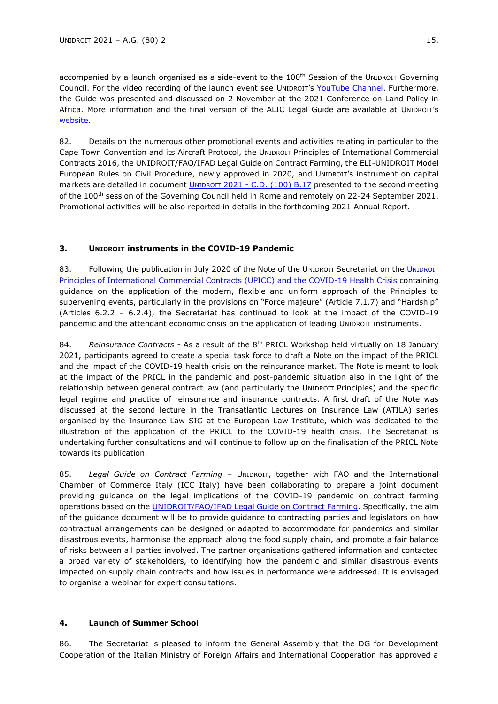accompanied by a launch organised as a side-event to the 100<sup>th</sup> Session of the UNIDROIT Governing Council. For the video recording of the launch event see [U](https://www.unidroit.org/english/governments/councildocuments/2019session/cd-98-17-e.pdf)[NIDROIT](https://www.unidroit.org/english/governments/councildocuments/2019session/cd-98-17-e.pdf)'s [YouTube Channel.](https://www.unidroit.org/english/governments/councildocuments/2019session/cd-98-17-e.pdf) Furthermore, the Guide was presented and discussed on 2 November at the 2021 Conference on Land Policy in Africa. More information and the final version of the ALIC Legal Guide are available at [U](https://www.unidroit.org/english/governments/councildocuments/2019session/cd-98-17-e.pdf)[NIDROIT](https://www.unidroit.org/english/governments/councildocuments/2019session/cd-98-17-e.pdf)'s [website.](https://www.unidroit.org/english/governments/councildocuments/2019session/cd-98-17-e.pdf)

82. Details on the numerous other promotional events and activities relating in particular to the Cape Town Convention and its Aircraft Protocol, the UNIDROIT Principles of International Commercial Contracts 2016, the UNIDROIT/FAO/IFAD Legal Guide on Contract Farming, the ELI-UNIDROIT Model European Rules on Civil Procedure, newly approved in 2020, and UNIDROIT's instrument on capital markets are detailed in document *UNIDROIT 2021 - C.D.* (100) B.17 presented to the second meeting of the 100<sup>th</sup> session of the Governing Council held in Rome and remotely on 22-24 September 2021. Promotional activities will be also reported in details in the forthcoming 2021 Annual Report.

# **3. UNIDROIT instruments in the COVID-19 Pandemic**

83. Following the publication in July 2020 of the Note of the U[NIDROIT](https://www.unidroit.org/english/news/2020/200721-principles-covid19-note/note-e.pdf) Secretariat on the *UNIDROIT* [Principles of International Commercial Contracts \(UPICC\) and](https://www.unidroit.org/english/news/2020/200721-principles-covid19-note/note-e.pdf) the COVID-19 Health Crisis containing guidance on the application of the modern, flexible and uniform approach of the Principles to supervening events, particularly in the provisions on "Force majeure" (Article 7.1.7) and "Hardship" (Articles 6.2.2 – 6.2.4), the Secretariat has continued to look at the impact of the COVID-19 pandemic and the attendant economic crisis on the application of leading UNIDROIT instruments.

84. *Reinsurance Contracts -* As a result of the 8th PRICL Workshop held virtually on 18 January 2021, participants agreed to create a special task force to draft a Note on the impact of the PRICL and the impact of the COVID-19 health crisis on the reinsurance market. The Note is meant to look at the impact of the PRICL in the pandemic and post-pandemic situation also in the light of the relationship between general contract law (and particularly the UNIDROIT Principles) and the specific legal regime and practice of reinsurance and insurance contracts. A first draft of the Note was discussed at the second lecture in the Transatlantic Lectures on Insurance Law (ATILA) series organised by the Insurance Law SIG at the European Law Institute, which was dedicated to the illustration of the application of the PRICL to the COVID-19 health crisis. The Secretariat is undertaking further consultations and will continue to follow up on the finalisation of the PRICL Note towards its publication.

85. *Legal Guide on Contract Farming* – UNIDROIT, together with FAO and the International Chamber of Commerce Italy (ICC Italy) have been collaborating to prepare a joint document providing guidance on the legal implications of the COVID-19 pandemic on contract farming operations based on the *UNIDROIT/FAO/IFAD Legal Guide on Contract Farming*. Specifically, the aim of the guidance document will be to provide guidance to contracting parties and legislators on how contractual arrangements can be designed or adapted to accommodate for pandemics and similar disastrous events, harmonise the approach along the food supply chain, and promote a fair balance of risks between all parties involved. The partner organisations gathered information and contacted a broad variety of stakeholders, to identifying how the pandemic and similar disastrous events impacted on supply chain contracts and how issues in performance were addressed. It is envisaged to organise a webinar for expert consultations.

# **4. Launch of Summer School**

86. The Secretariat is pleased to inform the General Assembly that the DG for Development Cooperation of the Italian Ministry of Foreign Affairs and International Cooperation has approved a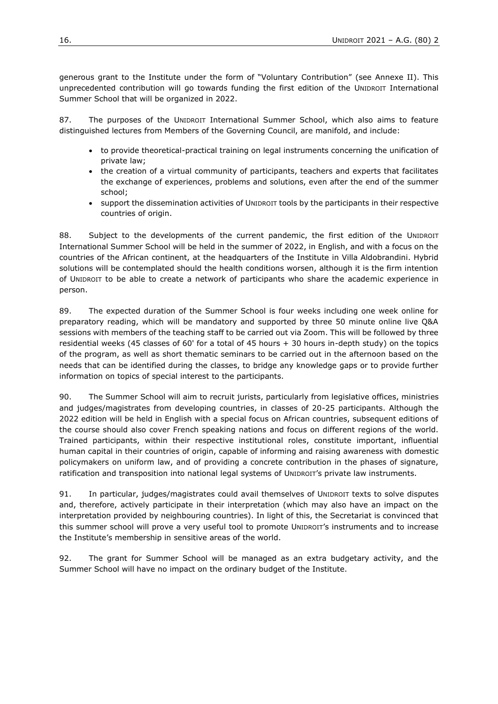generous grant to the Institute under the form of "Voluntary Contribution" (see Annexe II). This unprecedented contribution will go towards funding the first edition of the UNIDROIT International Summer School that will be organized in 2022.

87. The purposes of the UNIDROIT International Summer School, which also aims to feature distinguished lectures from Members of the Governing Council, are manifold, and include:

- to provide theoretical-practical training on legal instruments concerning the unification of private law;
- the creation of a virtual community of participants, teachers and experts that facilitates the exchange of experiences, problems and solutions, even after the end of the summer school;
- support the dissemination activities of UNIDROIT tools by the participants in their respective countries of origin.

88. Subject to the developments of the current pandemic, the first edition of the UNIDROIT International Summer School will be held in the summer of 2022, in English, and with a focus on the countries of the African continent, at the headquarters of the Institute in Villa Aldobrandini. Hybrid solutions will be contemplated should the health conditions worsen, although it is the firm intention of UNIDROIT to be able to create a network of participants who share the academic experience in person.

89. The expected duration of the Summer School is four weeks including one week online for preparatory reading, which will be mandatory and supported by three 50 minute online live Q&A sessions with members of the teaching staff to be carried out via Zoom. This will be followed by three residential weeks (45 classes of 60' for a total of 45 hours + 30 hours in-depth study) on the topics of the program, as well as short thematic seminars to be carried out in the afternoon based on the needs that can be identified during the classes, to bridge any knowledge gaps or to provide further information on topics of special interest to the participants.

90. The Summer School will aim to recruit jurists, particularly from legislative offices, ministries and judges/magistrates from developing countries, in classes of 20-25 participants. Although the 2022 edition will be held in English with a special focus on African countries, subsequent editions of the course should also cover French speaking nations and focus on different regions of the world. Trained participants, within their respective institutional roles, constitute important, influential human capital in their countries of origin, capable of informing and raising awareness with domestic policymakers on uniform law, and of providing a concrete contribution in the phases of signature, ratification and transposition into national legal systems of UNIDROIT's private law instruments.

91. In particular, judges/magistrates could avail themselves of UNIDROIT texts to solve disputes and, therefore, actively participate in their interpretation (which may also have an impact on the interpretation provided by neighbouring countries). In light of this, the Secretariat is convinced that this summer school will prove a very useful tool to promote UNIDROIT's instruments and to increase the Institute's membership in sensitive areas of the world.

92. The grant for Summer School will be managed as an extra budgetary activity, and the Summer School will have no impact on the ordinary budget of the Institute.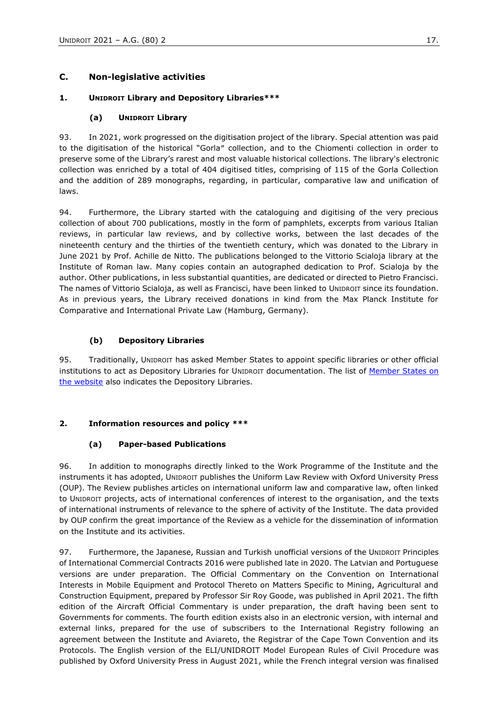# **C. Non-legislative activities**

### **1. UNIDROIT Library and Depository Libraries\*\*\***

### **(a) UNIDROIT Library**

93. In 2021, work progressed on the digitisation project of the library. Special attention was paid to the digitisation of the historical "Gorla″ collection, and to the Chiomenti collection in order to preserve some of the Library's rarest and most valuable historical collections. The library's electronic collection was enriched by a total of 404 digitised titles, comprising of 115 of the Gorla Collection and the addition of 289 monographs, regarding, in particular, comparative law and unification of laws.

94. Furthermore, the Library started with the cataloguing and digitising of the very precious collection of about 700 publications, mostly in the form of pamphlets, excerpts from various Italian reviews, in particular law reviews, and by collective works, between the last decades of the nineteenth century and the thirties of the twentieth century, which was donated to the Library in June 2021 by Prof. Achille de Nitto. The publications belonged to the Vittorio Scialoja library at the Institute of Roman law. Many copies contain an autographed dedication to Prof. Scialoja by the author. Other publications, in less substantial quantities, are dedicated or directed to Pietro Francisci. The names of Vittorio Scialoja, as well as Francisci, have been linked to UNIDROIT since its foundation. As in previous years, the Library received donations in kind from the Max Planck Institute for Comparative and International Private Law (Hamburg, Germany).

### **(b) Depository Libraries**

95. Traditionally, UNIDROIT has asked Member States to appoint specific libraries or other official institutions to act as Depository Libraries for UNIDROIT documentation. The list of Member States on [the website](https://www.unidroit.org/about-unidroit/membership/) also indicates the Depository Libraries.

# **2. Information resources and policy \*\*\***

# **(a) Paper-based Publications**

96. In addition to monographs directly linked to the Work Programme of the Institute and the instruments it has adopted, UNIDROIT publishes the Uniform Law Review with Oxford University Press (OUP). The Review publishes articles on international uniform law and comparative law, often linked to UNIDROIT projects, acts of international conferences of interest to the organisation, and the texts of international instruments of relevance to the sphere of activity of the Institute. The data provided by OUP confirm the great importance of the Review as a vehicle for the dissemination of information on the Institute and its activities.

97. Furthermore, the Japanese, Russian and Turkish unofficial versions of the UNIDROIT Principles of International Commercial Contracts 2016 were published late in 2020. The Latvian and Portuguese versions are under preparation. The Official Commentary on the Convention on International Interests in Mobile Equipment and Protocol Thereto on Matters Specific to Mining, Agricultural and Construction Equipment, prepared by Professor Sir Roy Goode, was published in April 2021. The fifth edition of the Aircraft Official Commentary is under preparation, the draft having been sent to Governments for comments. The fourth edition exists also in an electronic version, with internal and external links, prepared for the use of subscribers to the International Registry following an agreement between the Institute and Aviareto, the Registrar of the Cape Town Convention and its Protocols. The English version of the ELI/UNIDROIT Model European Rules of Civil Procedure was published by Oxford University Press in August 2021, while the French integral version was finalised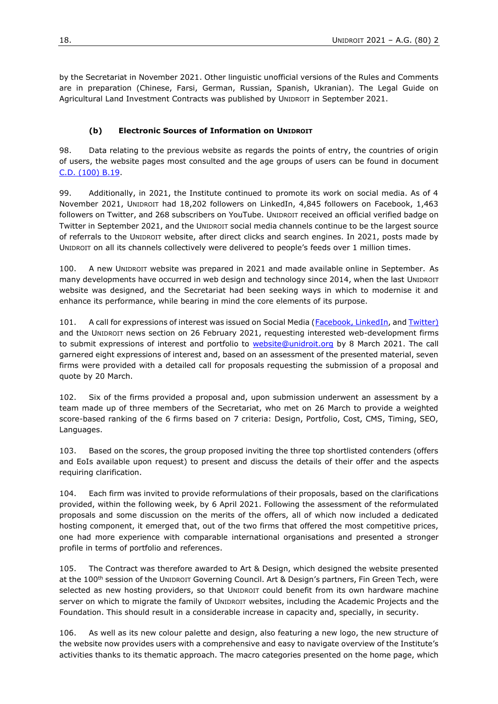by the Secretariat in November 2021. Other linguistic unofficial versions of the Rules and Comments are in preparation (Chinese, Farsi, German, Russian, Spanish, Ukranian). The Legal Guide on Agricultural Land Investment Contracts was published by UNIDROIT in September 2021.

#### **(b) Electronic Sources of Information on UNIDROIT**

98. Data relating to the previous website as regards the points of entry, the countries of origin of users, the website pages most consulted and the age groups of users can be found in document [C.D. \(100\)](https://www.unidroit.org/english/governments/councildocuments/2021session/cd-100-b/cd-100-b-19-e.pdf) B.19.

99. Additionally, in 2021, the Institute continued to promote its work on social media. As of 4 November 2021, UNIDROIT had 18,202 followers on LinkedIn, 4,845 followers on Facebook, 1,463 followers on Twitter, and 268 subscribers on YouTube. UNIDROIT received an official verified badge on Twitter in September 2021, and the UNIDROIT social media channels continue to be the largest source of referrals to the UNIDROIT website, after direct clicks and search engines. In 2021, posts made by UNIDROIT on all its channels collectively were delivered to people's feeds over 1 million times.

100. A new UNIDROIT website was prepared in 2021 and made available online in September. As many developments have occurred in web design and technology since 2014, when the last UNIDROIT website was designed, and the Secretariat had been seeking ways in which to modernise it and enhance its performance, while bearing in mind the core elements of its purpose.

101. A call for expressions of interest was issued on Social Media [\(Facebook,](https://www.facebook.com/Chelsentus/posts/10159218654003554) [LinkedIn,](https://www.linkedin.com/posts/international-institute-for-the-unification-of-private-law_unidroit-is-looking-for-web-developers-who-activity-6771809735340527616-7nYV) an[d Twitter\)](https://twitter.com/UNIDROITorg/status/1366044039431278592?s=20) and the UNIDROIT news section on 26 February 2021, requesting interested web-development firms to submit expressions of interest and portfolio to [website@unidroit.org](mailto:website@unidroit.org) by 8 March 2021. The call garnered eight expressions of interest and, based on an assessment of the presented material, seven firms were provided with a detailed call for proposals requesting the submission of a proposal and quote by 20 March.

102. Six of the firms provided a proposal and, upon submission underwent an assessment by a team made up of three members of the Secretariat, who met on 26 March to provide a weighted score-based ranking of the 6 firms based on 7 criteria: Design, Portfolio, Cost, CMS, Timing, SEO, Languages.

103. Based on the scores, the group proposed inviting the three top shortlisted contenders (offers and EoIs available upon request) to present and discuss the details of their offer and the aspects requiring clarification.

104. Each firm was invited to provide reformulations of their proposals, based on the clarifications provided, within the following week, by 6 April 2021. Following the assessment of the reformulated proposals and some discussion on the merits of the offers, all of which now included a dedicated hosting component, it emerged that, out of the two firms that offered the most competitive prices, one had more experience with comparable international organisations and presented a stronger profile in terms of portfolio and references.

105. The Contract was therefore awarded to Art & Design, which designed the website presented at the 100<sup>th</sup> session of the UNIDROIT Governing Council. Art & Design's partners, Fin Green Tech, were selected as new hosting providers, so that UNIDROIT could benefit from its own hardware machine server on which to migrate the family of UNIDROIT websites, including the Academic Projects and the Foundation. This should result in a considerable increase in capacity and, specially, in security.

106. As well as its new colour palette and design, also featuring a new logo, the new structure of the website now provides users with a comprehensive and easy to navigate overview of the Institute's activities thanks to its thematic approach. The macro categories presented on the home page, which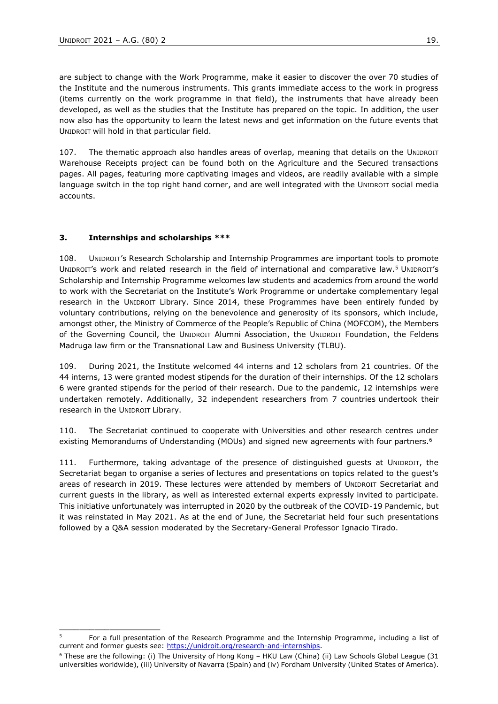are subject to change with the Work Programme, make it easier to discover the over 70 studies of the Institute and the numerous instruments. This grants immediate access to the work in progress (items currently on the work programme in that field), the instruments that have already been developed, as well as the studies that the Institute has prepared on the topic. In addition, the user now also has the opportunity to learn the latest news and get information on the future events that UNIDROIT will hold in that particular field.

107. The thematic approach also handles areas of overlap, meaning that details on the UNIDROIT Warehouse Receipts project can be found both on the Agriculture and the Secured transactions pages. All pages, featuring more captivating images and videos, are readily available with a simple language switch in the top right hand corner, and are well integrated with the UNIDROIT social media accounts.

### **3. Internships and scholarships \*\*\***

\_\_\_\_\_\_\_\_\_\_\_\_\_\_\_\_\_\_\_\_

108. UNIDROIT's Research Scholarship and Internship Programmes are important tools to promote UNIDROIT's work and related research in the field of international and comparative law.<sup>5</sup> UNIDROIT's Scholarship and Internship Programme welcomes law students and academics from around the world to work with the Secretariat on the Institute's Work Programme or undertake complementary legal research in the UNIDROIT Library. Since 2014, these Programmes have been entirely funded by voluntary contributions, relying on the benevolence and generosity of its sponsors, which include, amongst other, the Ministry of Commerce of the People's Republic of China (MOFCOM), the Members of the Governing Council, the UNIDROIT Alumni Association, the UNIDROIT Foundation, the Feldens Madruga law firm or the Transnational Law and Business University (TLBU).

109. During 2021, the Institute welcomed 44 interns and 12 scholars from 21 countries. Of the 44 interns, 13 were granted modest stipends for the duration of their internships. Of the 12 scholars 6 were granted stipends for the period of their research. Due to the pandemic, 12 internships were undertaken remotely. Additionally, 32 independent researchers from 7 countries undertook their research in the UNIDROIT Library.

110. The Secretariat continued to cooperate with Universities and other research centres under existing Memorandums of Understanding (MOUs) and signed new agreements with four partners.<sup>6</sup>

111. Furthermore, taking advantage of the presence of distinguished guests at UNIDROIT, the Secretariat began to organise a series of lectures and presentations on topics related to the guest's areas of research in 2019. These lectures were attended by members of UNIDROIT Secretariat and current guests in the library, as well as interested external experts expressly invited to participate. This initiative unfortunately was interrupted in 2020 by the outbreak of the COVID-19 Pandemic, but it was reinstated in May 2021. As at the end of June, the Secretariat held four such presentations followed by a Q&A session moderated by the Secretary-General Professor Ignacio Tirado.

<sup>5</sup> For a full presentation of the Research Programme and the Internship Programme, including a list of current and former guests see: [https://unidroit.org/research-and-internships.](https://unidroit.org/research-and-internships)

 $6$  These are the following: (i) The University of Hong Kong – HKU Law (China) (ii) Law Schools Global League (31 universities worldwide), (iii) University of Navarra (Spain) and (iv) Fordham University (United States of America).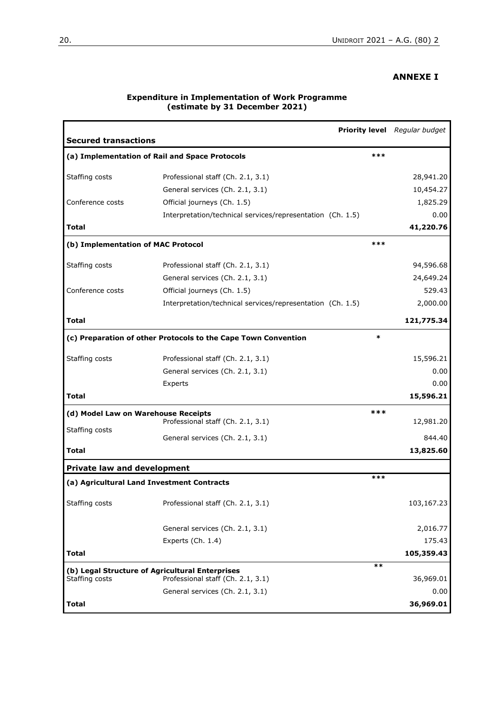## **ANNEXE I**

| <b>Secured transactions</b>                     |                                                                |        | <b>Priority level</b> Regular budget |
|-------------------------------------------------|----------------------------------------------------------------|--------|--------------------------------------|
|                                                 | (a) Implementation of Rail and Space Protocols                 | ***    |                                      |
| Staffing costs                                  | Professional staff (Ch. 2.1, 3.1)                              |        | 28,941.20                            |
|                                                 | General services (Ch. 2.1, 3.1)                                |        | 10,454.27                            |
| Conference costs                                | Official journeys (Ch. 1.5)                                    |        | 1,825.29                             |
|                                                 | Interpretation/technical services/representation (Ch. 1.5)     |        | 0.00                                 |
| Total                                           |                                                                |        | 41,220.76                            |
| (b) Implementation of MAC Protocol              |                                                                | ***    |                                      |
| Staffing costs                                  | Professional staff (Ch. 2.1, 3.1)                              |        | 94,596.68                            |
|                                                 | General services (Ch. 2.1, 3.1)                                |        | 24,649.24                            |
| Conference costs                                | Official journeys (Ch. 1.5)                                    |        | 529.43                               |
|                                                 | Interpretation/technical services/representation (Ch. 1.5)     |        | 2,000.00                             |
| Total                                           |                                                                |        | 121,775.34                           |
|                                                 | (c) Preparation of other Protocols to the Cape Town Convention | $\ast$ |                                      |
| Staffing costs                                  | Professional staff (Ch. 2.1, 3.1)                              |        | 15,596.21                            |
|                                                 | General services (Ch. 2.1, 3.1)                                |        | 0.00                                 |
|                                                 | Experts                                                        |        | 0.00                                 |
| <b>Total</b>                                    |                                                                |        | 15,596.21                            |
| (d) Model Law on Warehouse Receipts             | Professional staff (Ch. 2.1, 3.1)                              | ***    | 12,981.20                            |
| Staffing costs                                  |                                                                |        |                                      |
|                                                 | General services (Ch. 2.1, 3.1)                                |        | 844.40                               |
| Total                                           |                                                                |        | 13,825.60                            |
| <b>Private law and development</b>              |                                                                | ***    |                                      |
| (a) Agricultural Land Investment Contracts      |                                                                |        |                                      |
| Staffing costs                                  | Professional staff (Ch. 2.1, 3.1)                              |        | 103,167.23                           |
|                                                 | General services (Ch. 2.1, 3.1)                                |        | 2,016.77                             |
|                                                 | Experts (Ch. 1.4)                                              |        | 175.43                               |
| <b>Total</b>                                    |                                                                |        | 105,359.43                           |
| (b) Legal Structure of Agricultural Enterprises |                                                                | $***$  |                                      |
| Staffing costs                                  | Professional staff (Ch. 2.1, 3.1)                              |        | 36,969.01                            |
|                                                 | General services (Ch. 2.1, 3.1)                                |        | 0.00                                 |
| <b>Total</b>                                    |                                                                |        | 36,969.01                            |

#### **Expenditure in Implementation of Work Programme (estimate by 31 December 2021)**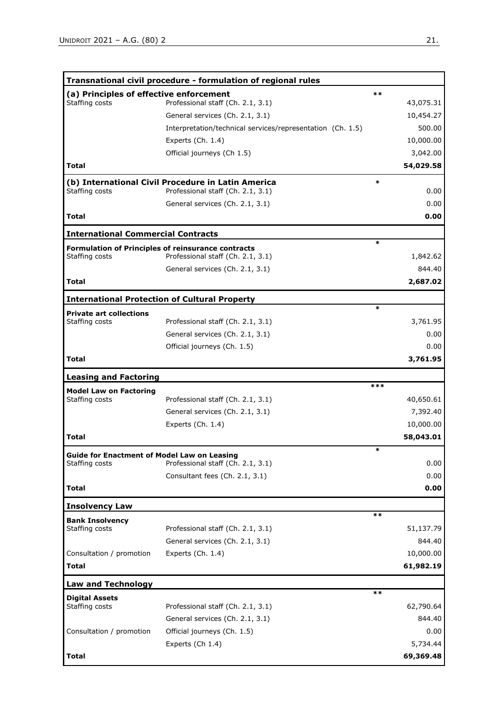|                                                                      | Transnational civil procedure - formulation of regional rules                           |           |
|----------------------------------------------------------------------|-----------------------------------------------------------------------------------------|-----------|
| (a) Principles of effective enforcement                              |                                                                                         | $***$     |
| Staffing costs                                                       | Professional staff (Ch. 2.1, 3.1)                                                       | 43,075.31 |
|                                                                      | General services (Ch. 2.1, 3.1)                                                         | 10,454.27 |
|                                                                      | Interpretation/technical services/representation (Ch. 1.5)                              | 500.00    |
|                                                                      | Experts $(Ch. 1.4)$                                                                     | 10,000.00 |
|                                                                      | Official journeys (Ch 1.5)                                                              | 3,042.00  |
| <b>Total</b>                                                         |                                                                                         | 54,029.58 |
| Staffing costs                                                       | (b) International Civil Procedure in Latin America<br>Professional staff (Ch. 2.1, 3.1) | *<br>0.00 |
|                                                                      | General services (Ch. 2.1, 3.1)                                                         | 0.00      |
| Total                                                                |                                                                                         | 0.00      |
| <b>International Commercial Contracts</b>                            |                                                                                         |           |
| <b>Formulation of Principles of reinsurance contracts</b>            |                                                                                         | $\ast$    |
| Staffing costs                                                       | Professional staff (Ch. 2.1, 3.1)                                                       | 1,842.62  |
|                                                                      | General services (Ch. 2.1, 3.1)                                                         | 844.40    |
| Total                                                                |                                                                                         | 2,687.02  |
| <b>International Protection of Cultural Property</b>                 |                                                                                         |           |
| <b>Private art collections</b>                                       |                                                                                         | $\ast$    |
| Staffing costs                                                       | Professional staff (Ch. 2.1, 3.1)                                                       | 3,761.95  |
|                                                                      | General services (Ch. 2.1, 3.1)                                                         | 0.00      |
|                                                                      | Official journeys (Ch. 1.5)                                                             | 0.00      |
| Total                                                                |                                                                                         | 3,761.95  |
|                                                                      |                                                                                         |           |
| <b>Leasing and Factoring</b>                                         |                                                                                         | ***       |
| <b>Model Law on Factoring</b><br>Staffing costs                      | Professional staff (Ch. 2.1, 3.1)                                                       | 40,650.61 |
|                                                                      | General services (Ch. 2.1, 3.1)                                                         | 7,392.40  |
|                                                                      | Experts (Ch. 1.4)                                                                       | 10,000.00 |
| Total                                                                |                                                                                         | 58,043.01 |
|                                                                      |                                                                                         | *         |
| <b>Guide for Enactment of Model Law on Leasing</b><br>Staffing costs | Professional staff (Ch. 2.1, 3.1)                                                       | 0.00      |
|                                                                      | Consultant fees (Ch. 2.1, 3.1)                                                          | 0.00      |
| Total                                                                |                                                                                         | 0.00      |
|                                                                      |                                                                                         |           |
| <b>Insolvency Law</b>                                                |                                                                                         | $***$     |
| <b>Bank Insolvency</b><br>Staffing costs                             | Professional staff (Ch. 2.1, 3.1)                                                       | 51,137.79 |
|                                                                      | General services (Ch. 2.1, 3.1)                                                         | 844.40    |
|                                                                      |                                                                                         | 10,000.00 |
| Consultation / promotion<br><b>Total</b>                             | Experts (Ch. 1.4)                                                                       | 61,982.19 |
|                                                                      |                                                                                         |           |
| <b>Law and Technology</b>                                            |                                                                                         |           |
| <b>Digital Assets</b>                                                |                                                                                         | **        |
| Staffing costs                                                       | Professional staff (Ch. 2.1, 3.1)                                                       | 62,790.64 |
|                                                                      | General services (Ch. 2.1, 3.1)                                                         | 844.40    |
| Consultation / promotion                                             | Official journeys (Ch. 1.5)                                                             | 0.00      |
|                                                                      | Experts (Ch 1.4)                                                                        | 5,734.44  |
| <b>Total</b>                                                         |                                                                                         | 69,369.48 |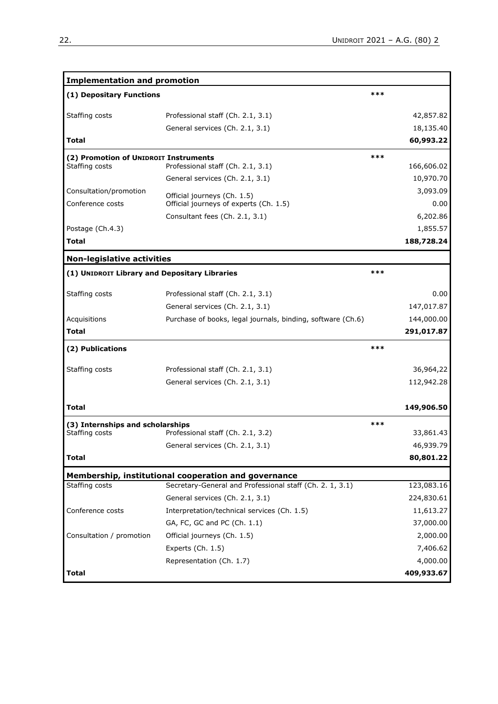| <b>Implementation and promotion</b>           |                                                             |       |            |
|-----------------------------------------------|-------------------------------------------------------------|-------|------------|
| (1) Depositary Functions                      |                                                             | ***   |            |
| Staffing costs                                | Professional staff (Ch. 2.1, 3.1)                           |       | 42,857.82  |
|                                               | General services (Ch. 2.1, 3.1)                             |       | 18,135.40  |
| <b>Total</b>                                  |                                                             |       | 60,993.22  |
| (2) Promotion of UNIDROIT Instruments         |                                                             | $***$ |            |
| Staffing costs                                | Professional staff (Ch. 2.1, 3.1)                           |       | 166,606.02 |
|                                               | General services (Ch. 2.1, 3.1)                             |       | 10,970.70  |
| Consultation/promotion                        | Official journeys (Ch. 1.5)                                 |       | 3,093.09   |
| Conference costs                              | Official journeys of experts (Ch. 1.5)                      |       | 0.00       |
|                                               | Consultant fees (Ch. 2.1, 3.1)                              |       | 6,202.86   |
| Postage (Ch.4.3)                              |                                                             |       | 1,855.57   |
| <b>Total</b>                                  |                                                             |       | 188,728.24 |
| <b>Non-legislative activities</b>             |                                                             |       |            |
| (1) UNIDROIT Library and Depositary Libraries |                                                             | ***   |            |
| Staffing costs                                | Professional staff (Ch. 2.1, 3.1)                           |       | 0.00       |
|                                               | General services (Ch. 2.1, 3.1)                             |       | 147,017.87 |
| Acquisitions                                  | Purchase of books, legal journals, binding, software (Ch.6) |       | 144,000.00 |
| <b>Total</b>                                  |                                                             |       | 291,017.87 |
| (2) Publications                              |                                                             | ***   |            |
| Staffing costs                                | Professional staff (Ch. 2.1, 3.1)                           |       | 36,964,22  |
|                                               | General services (Ch. 2.1, 3.1)                             |       | 112,942.28 |
| Total                                         |                                                             |       | 149,906.50 |
| (3) Internships and scholarships              |                                                             | ***   |            |
| Staffing costs                                | Professional staff (Ch. 2.1, 3.2)                           |       | 33,861.43  |
|                                               | General services (Ch. 2.1, 3.1)                             |       | 46,939.79  |
| <b>Total</b>                                  |                                                             |       | 80,801.22  |
|                                               | Membership, institutional cooperation and governance        |       |            |
| Staffing costs                                | Secretary-General and Professional staff (Ch. 2. 1, 3.1)    |       | 123,083.16 |
|                                               | General services (Ch. 2.1, 3.1)                             |       | 224,830.61 |
| Conference costs                              | Interpretation/technical services (Ch. 1.5)                 |       | 11,613.27  |
|                                               | GA, FC, GC and PC (Ch. 1.1)                                 |       | 37,000.00  |
| Consultation / promotion                      | Official journeys (Ch. 1.5)                                 |       | 2,000.00   |
|                                               | Experts (Ch. 1.5)                                           |       | 7,406.62   |
|                                               | Representation (Ch. 1.7)                                    |       | 4,000.00   |
| <b>Total</b>                                  |                                                             |       | 409,933.67 |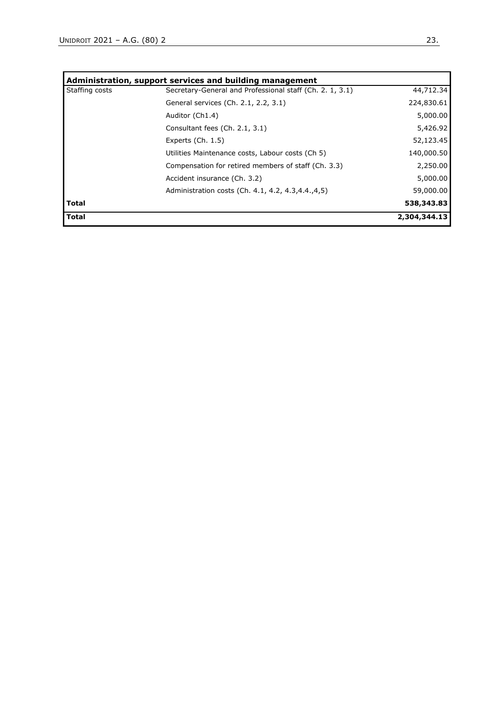| Administration, support services and building management |                                                          |              |  |  |  |  |  |
|----------------------------------------------------------|----------------------------------------------------------|--------------|--|--|--|--|--|
| Staffing costs                                           | Secretary-General and Professional staff (Ch. 2. 1, 3.1) | 44,712.34    |  |  |  |  |  |
|                                                          | General services (Ch. 2.1, 2.2, 3.1)                     | 224,830.61   |  |  |  |  |  |
|                                                          | Auditor (Ch1.4)                                          | 5,000.00     |  |  |  |  |  |
|                                                          | Consultant fees (Ch. 2.1, 3.1)                           | 5,426.92     |  |  |  |  |  |
|                                                          | Experts $(Ch. 1.5)$                                      | 52,123.45    |  |  |  |  |  |
|                                                          | Utilities Maintenance costs, Labour costs (Ch 5)         | 140,000.50   |  |  |  |  |  |
|                                                          | Compensation for retired members of staff (Ch. 3.3)      | 2,250.00     |  |  |  |  |  |
|                                                          | Accident insurance (Ch. 3.2)                             | 5,000.00     |  |  |  |  |  |
|                                                          | Administration costs (Ch. 4.1, 4.2, 4.3, 4.4, 4, 5)      | 59,000.00    |  |  |  |  |  |
| <b>Total</b>                                             |                                                          | 538,343.83   |  |  |  |  |  |
| <b>Total</b>                                             |                                                          | 2,304,344.13 |  |  |  |  |  |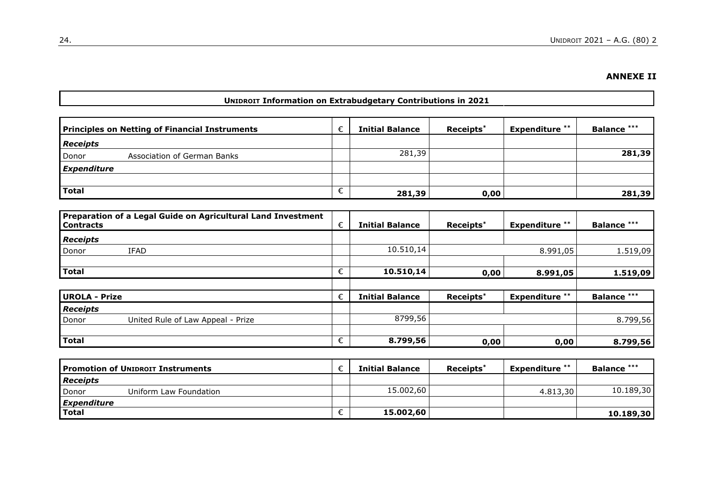# **ANNEXE II**

### **UNIDROIT Information on Extrabudgetary Contributions in 2021**

| <b>Principles on Netting of Financial Instruments</b> | <b>Initial Balance</b> | Receipts* | <b>Expenditure</b> ** | <b>Balance ***</b> |
|-------------------------------------------------------|------------------------|-----------|-----------------------|--------------------|
| <b>Receipts</b>                                       |                        |           |                       |                    |
| Donor<br>Association of German Banks                  | 281,39                 |           |                       | 281,39             |
| Expenditure                                           |                        |           |                       |                    |
|                                                       |                        |           |                       |                    |
| Total                                                 | 281,39                 | 0,00      |                       | 281,39             |

| Preparation of a Legal Guide on Agricultural Land Investment<br><b>Contracts</b> | € | <b>Initial Balance</b> | Receipts* | <b>Expenditure</b> ** | <b>Balance ***</b> |
|----------------------------------------------------------------------------------|---|------------------------|-----------|-----------------------|--------------------|
| <b>Receipts</b>                                                                  |   |                        |           |                       |                    |
| Donor<br>IFAD                                                                    |   | 10.510,14              |           | 8.991,05              | 1.519,09           |
|                                                                                  |   |                        |           |                       |                    |
| <b>Total</b>                                                                     | € | 10.510,14              | 0,00      | 8.991,05              | 1.519,09           |
|                                                                                  |   |                        |           |                       |                    |
| <b>UROLA - Prize</b>                                                             | € | <b>Initial Balance</b> | Receipts* | <b>Expenditure **</b> | <b>Balance ***</b> |
| <b>Receipts</b>                                                                  |   |                        |           |                       |                    |
| Donor<br>United Rule of Law Appeal - Prize                                       |   | 8799,56                |           |                       | 8.799,56           |
|                                                                                  |   |                        |           |                       |                    |
| <b>Total</b>                                                                     | € | 8.799,56               | 0,00      | 0,00                  | 8.799,56           |

|                 | <b>Promotion of UNIDROIT Instruments</b> |   | <b>Initial Balance</b> | Receipts <sup>*</sup> | <b>Expenditure</b> ** | <b>Balance ***</b> |
|-----------------|------------------------------------------|---|------------------------|-----------------------|-----------------------|--------------------|
| <b>Receipts</b> |                                          |   |                        |                       |                       |                    |
| Donor           | Uniform Law Foundation                   |   | 15.002,60              |                       | 4.813,30              | 10.189,30          |
| Expenditure     |                                          |   |                        |                       |                       |                    |
| <b>Total</b>    |                                          | ╰ | 15.002,60              |                       |                       | 10.189.30          |